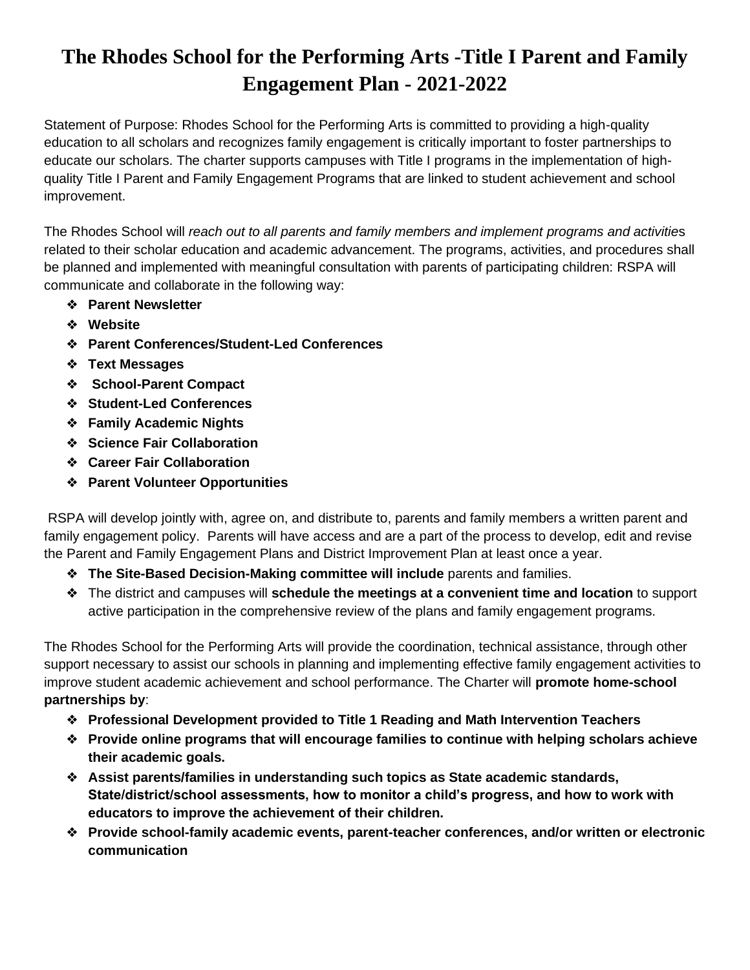## **The Rhodes School for the Performing Arts -Title I Parent and Family Engagement Plan - 2021-2022**

Statement of Purpose: Rhodes School for the Performing Arts is committed to providing a high-quality education to all scholars and recognizes family engagement is critically important to foster partnerships to educate our scholars. The charter supports campuses with Title I programs in the implementation of highquality Title I Parent and Family Engagement Programs that are linked to student achievement and school improvement.

The Rhodes School will *reach out to all parents and family members and implement programs and activitie*s related to their scholar education and academic advancement. The programs, activities, and procedures shall be planned and implemented with meaningful consultation with parents of participating children: RSPA will communicate and collaborate in the following way:

- ❖ **Parent Newsletter**
- ❖ **Website**
- ❖ **Parent Conferences/Student-Led Conferences**
- ❖ **Text Messages**
- ❖ **School-Parent Compact**
- ❖ **Student-Led Conferences**
- ❖ **Family Academic Nights**
- ❖ **Science Fair Collaboration**
- ❖ **Career Fair Collaboration**
- ❖ **Parent Volunteer Opportunities**

RSPA will develop jointly with, agree on, and distribute to, parents and family members a written parent and family engagement policy. Parents will have access and are a part of the process to develop, edit and revise the Parent and Family Engagement Plans and District Improvement Plan at least once a year.

- ❖ **The Site-Based Decision-Making committee will include** parents and families.
- ❖ The district and campuses will **schedule the meetings at a convenient time and location** to support active participation in the comprehensive review of the plans and family engagement programs.

The Rhodes School for the Performing Arts will provide the coordination, technical assistance, through other support necessary to assist our schools in planning and implementing effective family engagement activities to improve student academic achievement and school performance. The Charter will **promote home-school partnerships by**:

- ❖ **Professional Development provided to Title 1 Reading and Math Intervention Teachers**
- ❖ **Provide online programs that will encourage families to continue with helping scholars achieve their academic goals.**
- ❖ **Assist parents/families in understanding such topics as State academic standards, State/district/school assessments, how to monitor a child's progress, and how to work with educators to improve the achievement of their children.**
- ❖ **Provide school-family academic events, parent-teacher conferences, and/or written or electronic communication**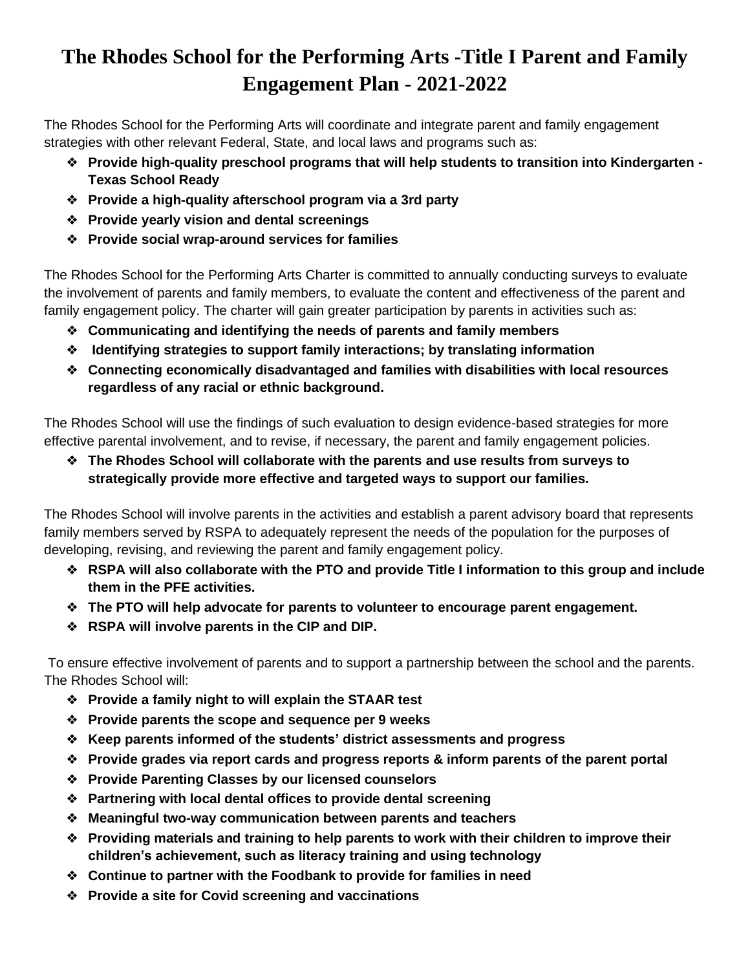## **The Rhodes School for the Performing Arts -Title I Parent and Family Engagement Plan - 2021-2022**

The Rhodes School for the Performing Arts will coordinate and integrate parent and family engagement strategies with other relevant Federal, State, and local laws and programs such as:

- ❖ **Provide high-quality preschool programs that will help students to transition into Kindergarten - Texas School Ready**
- ❖ **Provide a high-quality afterschool program via a 3rd party**
- ❖ **Provide yearly vision and dental screenings**
- ❖ **Provide social wrap-around services for families**

The Rhodes School for the Performing Arts Charter is committed to annually conducting surveys to evaluate the involvement of parents and family members, to evaluate the content and effectiveness of the parent and family engagement policy. The charter will gain greater participation by parents in activities such as:

- ❖ **Communicating and identifying the needs of parents and family members**
- ❖ **Identifying strategies to support family interactions; by translating information**
- ❖ **Connecting economically disadvantaged and families with disabilities with local resources regardless of any racial or ethnic background.**

The Rhodes School will use the findings of such evaluation to design evidence-based strategies for more effective parental involvement, and to revise, if necessary, the parent and family engagement policies.

❖ **The Rhodes School will collaborate with the parents and use results from surveys to strategically provide more effective and targeted ways to support our families.**

The Rhodes School will involve parents in the activities and establish a parent advisory board that represents family members served by RSPA to adequately represent the needs of the population for the purposes of developing, revising, and reviewing the parent and family engagement policy.

- ❖ **RSPA will also collaborate with the PTO and provide Title I information to this group and include them in the PFE activities.**
- ❖ **The PTO will help advocate for parents to volunteer to encourage parent engagement.**
- ❖ **RSPA will involve parents in the CIP and DIP.**

To ensure effective involvement of parents and to support a partnership between the school and the parents. The Rhodes School will:

- ❖ **Provide a family night to will explain the STAAR test**
- ❖ **Provide parents the scope and sequence per 9 weeks**
- ❖ **Keep parents informed of the students' district assessments and progress**
- ❖ **Provide grades via report cards and progress reports & inform parents of the parent portal**
- ❖ **Provide Parenting Classes by our licensed counselors**
- ❖ **Partnering with local dental offices to provide dental screening**
- ❖ **Meaningful two-way communication between parents and teachers**
- ❖ **Providing materials and training to help parents to work with their children to improve their children's achievement, such as literacy training and using technology**
- ❖ **Continue to partner with the Foodbank to provide for families in need**
- ❖ **Provide a site for Covid screening and vaccinations**